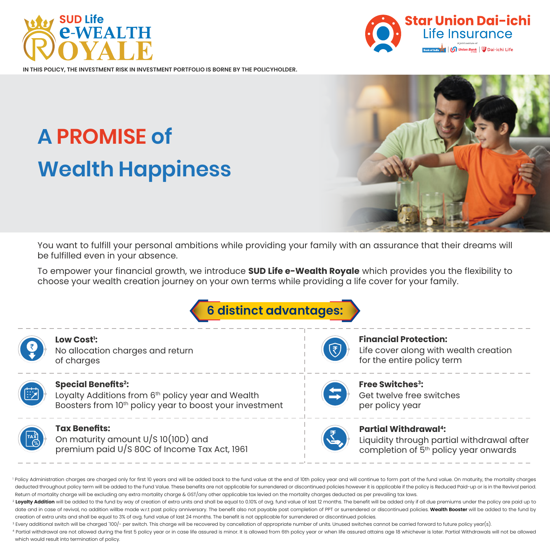



**POLICY, THE INVESTMENT RISK IN INVESTMENT PORTFOLIO IS BORNE BY THE POLICYHOLDER.** 

# **A PROMISE of Wealth Happiness**



You want to fulfill your personal ambitions while providing your family with an assurance that their dreams will be fulfilled even in your absence.

To empower your financial growth, we introduce **SUD Life e-Wealth Royale** which provides you the flexibility to choose your wealth creation journey on your own terms while providing a life cover for your family.





Policy Administration charges are charged only for first 10 years and will be added back to the fund value at the end of 10th policy year and will continue to form part of the fund value. On maturity, the mortality charges deducted throughout policy term will be added to the Fund Value. These benefits are not applicable for surrendered or discontinued policies however it is applicable if the policy is Reduced Paid-up or is in the Revival per Return of mortality charge will be excluding any extra mortality charge & GST/any other applicable tax levied on the mortality charges deducted as per prevailing tax laws.

2 Loyalty Addition will be added to the fund by way of creation of extra units and shall be equal to 0.10% of ava, fund value of last 12 months. The benefit will be added only if all due premiums under the policy are paid date and in case of revival, no addition willbe made w.r.t past policy anniversary. The benefit also not payable post completion of PPT or surrendered or discontinued policies. Wealth Booster will be added to the fund by creation of extra units and shall be equal to 3% of avg. fund value of last 24 months. The benefit is not applicable for surrendered or discontinued policies.

<sup>3</sup> Every additional switch will be charged `100/- per switch. This charge will be recovered by cancellation of appropriate number of units. Unused switches cannot be carried forward to future policy year(s).

4 Partial withdrawal are not allowed during the first 5 policy year or in case life assured is minor. It is allowed from 6th policy year or when life assured attains age 18 whichever is later. Partial Withdrawals will not which would result into termination of policy.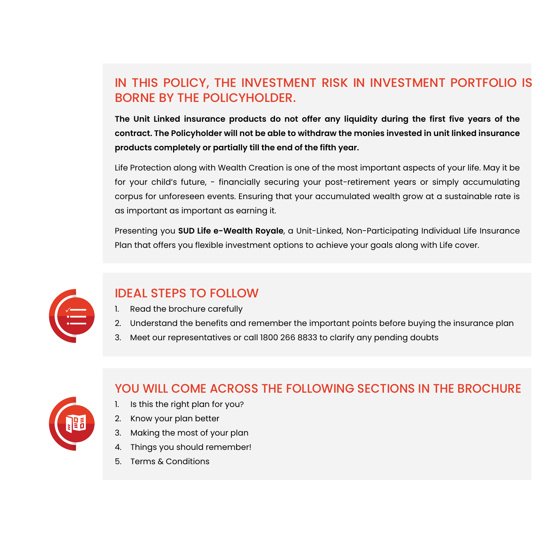# IN THIS POLICY, THE INVESTMENT RISK IN INVESTMENT PORTFOLIO IS BORNE BY THE POLICYHOLDER.

**The Unit Linked insurance products do not offer any liquidity during the first five years of the contract. The Policyholder will not be able to withdraw the monies invested in unit linked insurance products completely or partially till the end of the fifth year.**

Life Protection along with Wealth Creation is one of the most important aspects of your life. May it be for your child's future, - financially securing your post-retirement years or simply accumulating corpus for unforeseen events. Ensuring that your accumulated wealth grow at a sustainable rate is as important as important as earning it.

Presenting you **SUD Life e-Wealth Royale**, a Unit-Linked, Non-Participating Individual Life Insurance Plan that offers you flexible investment options to achieve your goals along with Life cover.



# IDEAL STEPS TO FOLLOW

- 1. Read the brochure carefully
- 2. Understand the benefits and remember the important points before buying the insurance plan
- 3. Meet our representatives or call 1800 266 8833 to clarify any pending doubts



# YOU WILL COME ACROSS THE FOLLOWING SECTIONS IN THE BROCHURE

- 1. Is this the right plan for you?
- 2. Know your plan better
- 3. Making the most of your plan
- 4. Things you should remember!
- 5. Terms & Conditions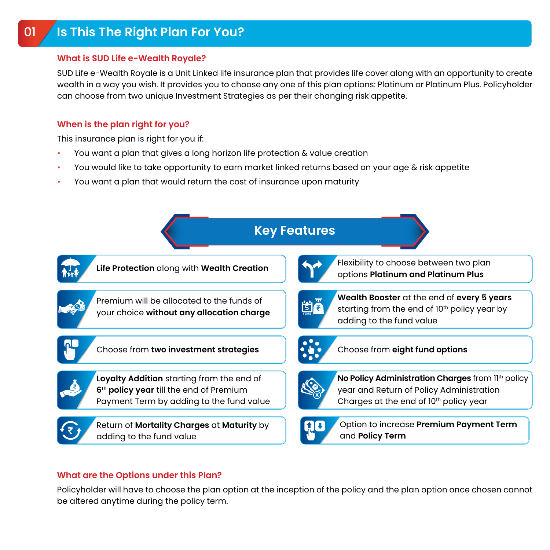#### **What is SUD Life e-Wealth Royale?**

SUD Life e-Wealth Royale is a Unit Linked life insurance plan that provides life cover along with an opportunity to create wealth in a way you wish. It provides you to choose any one of this plan options: Platinum or Platinum Plus. Policyholder can choose from two unique Investment Strategies as per their changing risk appetite.

#### **When is the plan right for you?**

This insurance plan is right for you if:

- You want a plan that gives a long horizon life protection & value creation
- You would like to take opportunity to earn market linked returns based on your age & risk appetite
- You want a plan that would return the cost of insurance upon maturity



### **What are the Options under this Plan?**

Policyholder will have to choose the plan option at the inception of the policy and the plan option once chosen cannot be altered anytime during the policy term.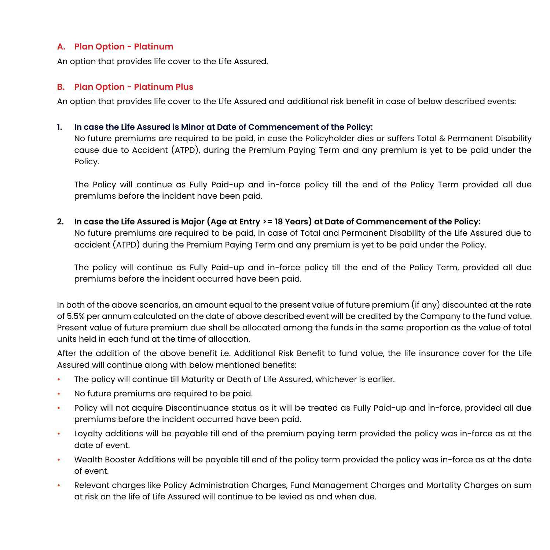#### **A. Plan Option - Platinum**

An option that provides life cover to the Life Assured.

#### **B. Plan Option - Platinum Plus**

An option that provides life cover to the Life Assured and additional risk benefit in case of below described events:

#### **1. In case the Life Assured is Minor at Date of Commencement of the Policy:**

 No future premiums are required to be paid, in case the Policyholder dies or suffers Total & Permanent Disability cause due to Accident (ATPD), during the Premium Paying Term and any premium is yet to be paid under the Policy.

 The Policy will continue as Fully Paid-up and in-force policy till the end of the Policy Term provided all due premiums before the incident have been paid.

**2. In case the Life Assured is Major (Age at Entry >= 18 Years) at Date of Commencement of the Policy:** 

 No future premiums are required to be paid, in case of Total and Permanent Disability of the Life Assured due to accident (ATPD) during the Premium Paying Term and any premium is yet to be paid under the Policy.

 The policy will continue as Fully Paid-up and in-force policy till the end of the Policy Term, provided all due premiums before the incident occurred have been paid.

In both of the above scenarios, an amount equal to the present value of future premium (if any) discounted at the rate of 5.5% per annum calculated on the date of above described event will be credited by the Company to the fund value. Present value of future premium due shall be allocated among the funds in the same proportion as the value of total units held in each fund at the time of allocation.

After the addition of the above benefit i.e. Additional Risk Benefit to fund value, the life insurance cover for the Life Assured will continue along with below mentioned benefits:

- The policy will continue till Maturity or Death of Life Assured, whichever is earlier.
- No future premiums are required to be paid.
- Policy will not acquire Discontinuance status as it will be treated as Fully Paid-up and in-force, provided all due premiums before the incident occurred have been paid.
- Loyalty additions will be payable till end of the premium paying term provided the policy was in-force as at the date of event.
- Wealth Booster Additions will be payable till end of the policy term provided the policy was in-force as at the date of event.
- Relevant charges like Policy Administration Charges, Fund Management Charges and Mortality Charges on sum at risk on the life of Life Assured will continue to be levied as and when due.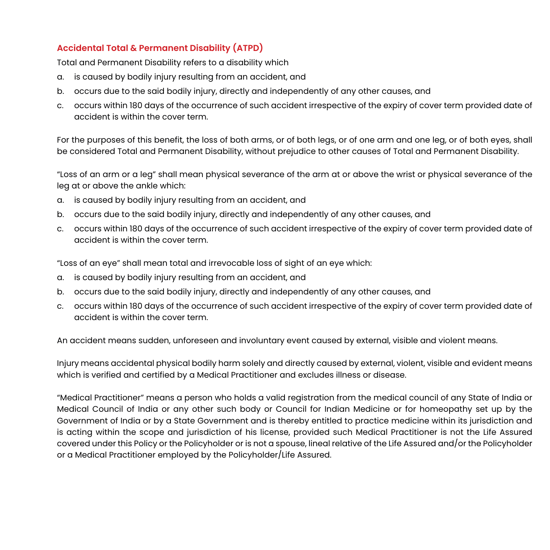### **Accidental Total & Permanent Disability (ATPD)**

Total and Permanent Disability refers to a disability which

- a. is caused by bodily injury resulting from an accident, and
- b. occurs due to the said bodily injury, directly and independently of any other causes, and
- c. occurs within 180 days of the occurrence of such accident irrespective of the expiry of cover term provided date of accident is within the cover term.

For the purposes of this benefit, the loss of both arms, or of both legs, or of one arm and one leg, or of both eyes, shall be considered Total and Permanent Disability, without prejudice to other causes of Total and Permanent Disability.

"Loss of an arm or a leg" shall mean physical severance of the arm at or above the wrist or physical severance of the leg at or above the ankle which:

- a. is caused by bodily injury resulting from an accident, and
- b. occurs due to the said bodily injury, directly and independently of any other causes, and
- c. occurs within 180 days of the occurrence of such accident irrespective of the expiry of cover term provided date of accident is within the cover term.

"Loss of an eye" shall mean total and irrevocable loss of sight of an eye which:

- a. is caused by bodily injury resulting from an accident, and
- b. occurs due to the said bodily injury, directly and independently of any other causes, and
- c. occurs within 180 days of the occurrence of such accident irrespective of the expiry of cover term provided date of accident is within the cover term.

An accident means sudden, unforeseen and involuntary event caused by external, visible and violent means.

Injury means accidental physical bodily harm solely and directly caused by external, violent, visible and evident means which is verified and certified by a Medical Practitioner and excludes illness or disease.

"Medical Practitioner" means a person who holds a valid registration from the medical council of any State of India or Medical Council of India or any other such body or Council for Indian Medicine or for homeopathy set up by the Government of India or by a State Government and is thereby entitled to practice medicine within its jurisdiction and is acting within the scope and jurisdiction of his license, provided such Medical Practitioner is not the Life Assured covered under this Policy or the Policyholder or is not a spouse, lineal relative of the Life Assured and/or the Policyholder or a Medical Practitioner employed by the Policyholder/Life Assured.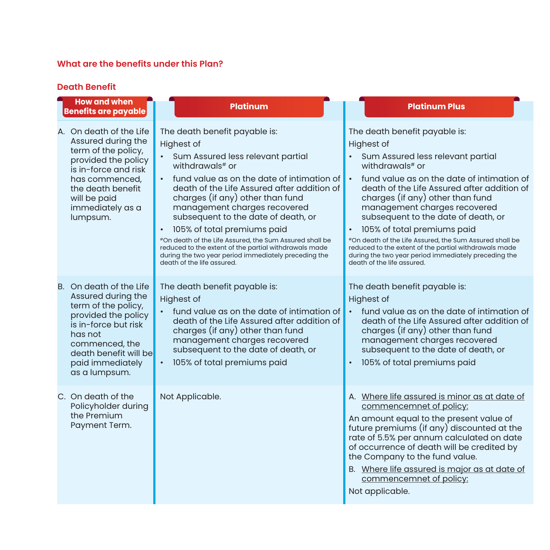#### **What are the benefits under this Plan?**

#### **Death Benefit**

**How and when Benefits are payable Platinum Platinum Plus**

A. On death of the Life Assured during the term of the policy, provided the policy is in-force and risk has commenced, the death benefit will be paid immediately as a lumpsum.

B. On death of the Life

as a lumpsum.

C. On death of the Policyholder during the Premium Payment Term.

has not

The death benefit payable is: Highest of

- Sum Assured less relevant partial withdrawals<sup>#</sup> or
- fund value as on the date of intimation of death of the Life Assured after addition of charges (if any) other than fund management charges recovered subsequent to the date of death, or
- 105% of total premiums paid

#On death of the Life Assured, the Sum Assured shall be reduced to the extent of the partial withdrawals made during the two year period immediately preceding the death of the life assured.

Highest of • fund value as on the date of intimation of death of the Life Assured after addition of charges (if any) other than fund management charges recovered Assured during the term of the policy, provided the policy is in-force but risk commenced, the

• 105% of total premiums paid death benefit will be paid immediately

The death benefit payable is:

Highest of

- Sum Assured less relevant partial withdrawals# or • fund value as on the date of intimation of
- death of the Life Assured after addition of charges (if any) other than fund management charges recovered subsequent to the date of death, or
- 105% of total premiums paid

#On death of the Life Assured, the Sum Assured shall be reduced to the extent of the partial withdrawals made during the two year period immediately preceding the death of the life assured.

The death benefit payable is: subsequent to the date of death, or The death benefit payable is: Highest of • fund value as on the date of intimation of death of the Life Assured after addition of charges (if any) other than fund management charges recovered subsequent to the date of death, or • 105% of total premiums paid Not Applicable. And are all the set of the Mathematics and A. Where life assured is minor as at date of commencemnet of policy: An amount equal to the present value of future premiums (if any) discounted at the

rate of 5.5% per annum calculated on date of occurrence of death will be credited by the Company to the fund value.

B. Where life assured is major as at date of commencemnet of policy:

Not applicable.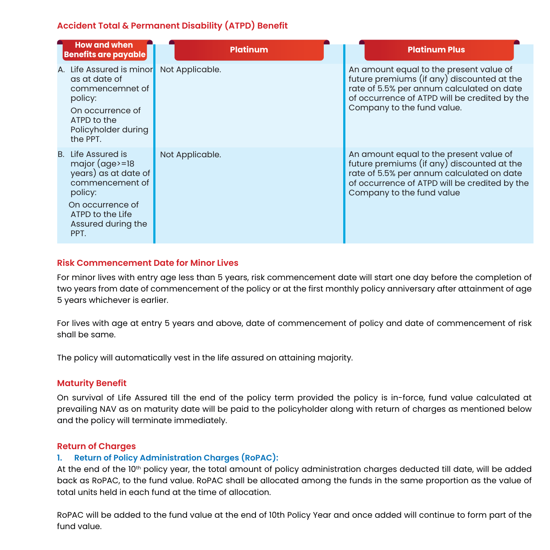### **Accident Total & Permanent Disability (ATPD) Benefit**

| <b>How and when</b><br><b>Benefits are payable</b>                                                                                                                 | <b>Platinum</b> | <b>Platinum Plus</b>                                                                                                                                                                                              |
|--------------------------------------------------------------------------------------------------------------------------------------------------------------------|-----------------|-------------------------------------------------------------------------------------------------------------------------------------------------------------------------------------------------------------------|
| A. Life Assured is minor<br>as at date of<br>commencemnet of<br>policy:<br>On occurrence of<br>ATPD to the<br>Policyholder during<br>the PPT.                      | Not Applicable. | An amount equal to the present value of<br>future premiums (if any) discounted at the<br>rate of 5.5% per annum calculated on date<br>of occurrence of ATPD will be credited by the<br>Company to the fund value. |
| B. Life Assured is<br>major $(age)=18$<br>years) as at date of<br>commencement of<br>policy:<br>On occurrence of<br>ATPD to the Life<br>Assured during the<br>PPT. | Not Applicable. | An amount equal to the present value of<br>future premiums (if any) discounted at the<br>rate of 5.5% per annum calculated on date<br>of occurrence of ATPD will be credited by the<br>Company to the fund value  |

#### **Risk Commencement Date for Minor Lives**

For minor lives with entry age less than 5 years, risk commencement date will start one day before the completion of two years from date of commencement of the policy or at the first monthly policy anniversary after attainment of age 5 years whichever is earlier.

For lives with age at entry 5 years and above, date of commencement of policy and date of commencement of risk shall be same.

The policy will automatically vest in the life assured on attaining majority.

#### **Maturity Benefit**

On survival of Life Assured till the end of the policy term provided the policy is in-force, fund value calculated at prevailing NAV as on maturity date will be paid to the policyholder along with return of charges as mentioned below and the policy will terminate immediately.

#### **Return of Charges**

#### **1. Return of Policy Administration Charges (RoPAC):**

At the end of the 10<sup>th</sup> policy year, the total amount of policy administration charges deducted till date, will be added back as RoPAC, to the fund value. RoPAC shall be allocated among the funds in the same proportion as the value of total units held in each fund at the time of allocation.

RoPAC will be added to the fund value at the end of 10th Policy Year and once added will continue to form part of the fund value.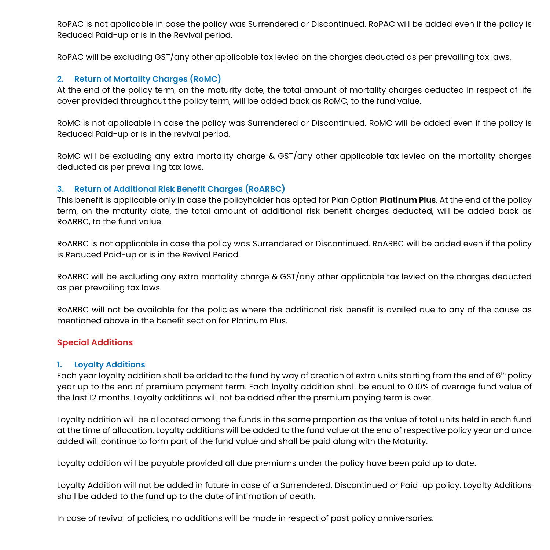RoPAC is not applicable in case the policy was Surrendered or Discontinued. RoPAC will be added even if the policy is Reduced Paid-up or is in the Revival period.

RoPAC will be excluding GST/any other applicable tax levied on the charges deducted as per prevailing tax laws.

#### **2. Return of Mortality Charges (RoMC)**

At the end of the policy term, on the maturity date, the total amount of mortality charges deducted in respect of life cover provided throughout the policy term, will be added back as RoMC, to the fund value.

RoMC is not applicable in case the policy was Surrendered or Discontinued. RoMC will be added even if the policy is Reduced Paid-up or is in the revival period.

RoMC will be excluding any extra mortality charge & GST/any other applicable tax levied on the mortality charges deducted as per prevailing tax laws.

#### **3. Return of Additional Risk Benefit Charges (RoARBC)**

This benefit is applicable only in case the policyholder has opted for Plan Option **Platinum Plus**. At the end of the policy term, on the maturity date, the total amount of additional risk benefit charges deducted, will be added back as RoARBC, to the fund value.

RoARBC is not applicable in case the policy was Surrendered or Discontinued. RoARBC will be added even if the policy is Reduced Paid-up or is in the Revival Period.

RoARBC will be excluding any extra mortality charge & GST/any other applicable tax levied on the charges deducted as per prevailing tax laws.

RoARBC will not be available for the policies where the additional risk benefit is availed due to any of the cause as mentioned above in the benefit section for Platinum Plus.

#### **Special Additions**

#### **1. Loyalty Additions**

Each year loyalty addition shall be added to the fund by way of creation of extra units starting from the end of  $6<sup>th</sup>$  policy year up to the end of premium payment term. Each loyalty addition shall be equal to 0.10% of average fund value of the last 12 months. Loyalty additions will not be added after the premium paying term is over.

Loyalty addition will be allocated among the funds in the same proportion as the value of total units held in each fund at the time of allocation. Loyalty additions will be added to the fund value at the end of respective policy year and once added will continue to form part of the fund value and shall be paid along with the Maturity.

Loyalty addition will be payable provided all due premiums under the policy have been paid up to date.

Loyalty Addition will not be added in future in case of a Surrendered, Discontinued or Paid-up policy. Loyalty Additions shall be added to the fund up to the date of intimation of death.

In case of revival of policies, no additions will be made in respect of past policy anniversaries.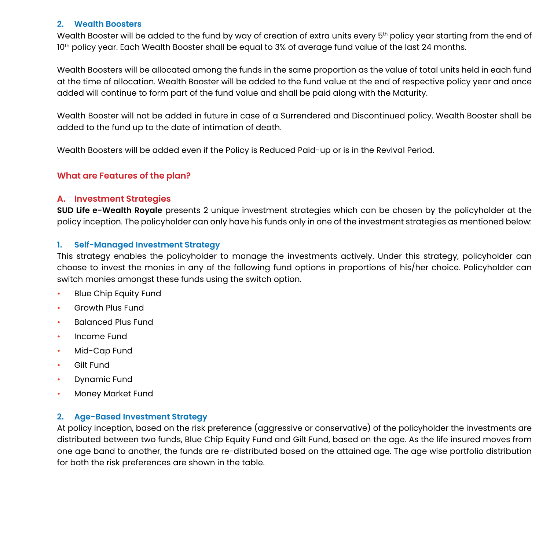#### **2. Wealth Boosters**

Wealth Booster will be added to the fund by way of creation of extra units every 5<sup>th</sup> policy year starting from the end of 10th policy year. Each Wealth Booster shall be equal to 3% of average fund value of the last 24 months.

Wealth Boosters will be allocated among the funds in the same proportion as the value of total units held in each fund at the time of allocation. Wealth Booster will be added to the fund value at the end of respective policy year and once added will continue to form part of the fund value and shall be paid along with the Maturity.

Wealth Booster will not be added in future in case of a Surrendered and Discontinued policy. Wealth Booster shall be added to the fund up to the date of intimation of death.

Wealth Boosters will be added even if the Policy is Reduced Paid-up or is in the Revival Period.

#### **What are Features of the plan?**

#### **A. Investment Strategies**

**SUD Life e-Wealth Royale** presents 2 unique investment strategies which can be chosen by the policyholder at the policy inception. The policyholder can only have his funds only in one of the investment strategies as mentioned below:

#### **1. Self-Managed Investment Strategy**

This strategy enables the policyholder to manage the investments actively. Under this strategy, policyholder can choose to invest the monies in any of the following fund options in proportions of his/her choice. Policyholder can switch monies amongst these funds using the switch option.

- Blue Chip Equity Fund
- Growth Plus Fund
- Balanced Plus Fund
- Income Fund
- Mid-Cap Fund
- **Gilt Fund**
- Dynamic Fund
- Money Market Fund

#### **2. Age-Based Investment Strategy**

At policy inception, based on the risk preference (aggressive or conservative) of the policyholder the investments are distributed between two funds, Blue Chip Equity Fund and Gilt Fund, based on the age. As the life insured moves from one age band to another, the funds are re-distributed based on the attained age. The age wise portfolio distribution for both the risk preferences are shown in the table.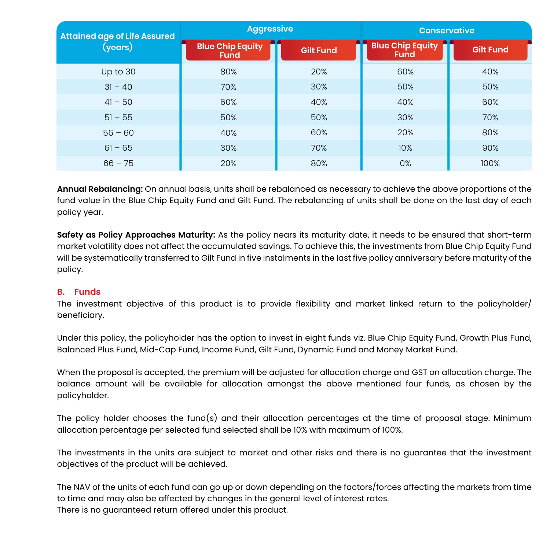| <b>Attained age of Life Assured</b> | <b>Aggressive</b>                      |                  | <b>Conservative</b>                    |                  |  |
|-------------------------------------|----------------------------------------|------------------|----------------------------------------|------------------|--|
| (years)                             | <b>Blue Chip Equity</b><br><b>Fund</b> | <b>Gilt Fund</b> | <b>Blue Chip Equity</b><br><b>Fund</b> | <b>Gilt Fund</b> |  |
| Up to 30                            | 80%                                    | 20%              | 60%                                    | 40%              |  |
| $31 - 40$                           | 70%                                    | 30%              | 50%                                    | 50%              |  |
| $41 - 50$                           | 60%                                    | 40%              | 40%                                    | 60%              |  |
| $51 - 55$                           | 50%                                    | 50%              | 30%                                    | 70%              |  |
| $56 - 60$                           | 40%                                    | 60%              | 20%                                    | 80%              |  |
| $61 - 65$                           | 30%                                    | 70%              | 10%                                    | 90%              |  |
| $66 - 75$                           | 20%                                    | 80%              | 0%                                     | 100%             |  |

**Annual Rebalancing:** On annual basis, units shall be rebalanced as necessary to achieve the above proportions of the fund value in the Blue Chip Equity Fund and Gilt Fund. The rebalancing of units shall be done on the last day of each policy year.

**Safety as Policy Approaches Maturity:** As the policy nears its maturity date, it needs to be ensured that short-term market volatility does not affect the accumulated savings. To achieve this, the investments from Blue Chip Equity Fund will be systematically transferred to Gilt Fund in five instalments in the last five policy anniversary before maturity of the policy.

#### **B. Funds**

The investment objective of this product is to provide flexibility and market linked return to the policyholder/ beneficiary.

Under this policy, the policyholder has the option to invest in eight funds viz. Blue Chip Equity Fund, Growth Plus Fund, Balanced Plus Fund, Mid-Cap Fund, Income Fund, Gilt Fund, Dynamic Fund and Money Market Fund.

When the proposal is accepted, the premium will be adjusted for allocation charge and GST on allocation charge. The balance amount will be available for allocation amongst the above mentioned four funds, as chosen by the policyholder.

The policy holder chooses the fund(s) and their allocation percentages at the time of proposal stage. Minimum allocation percentage per selected fund selected shall be 10% with maximum of 100%.

The investments in the units are subject to market and other risks and there is no guarantee that the investment objectives of the product will be achieved.

The NAV of the units of each fund can go up or down depending on the factors/forces affecting the markets from time to time and may also be affected by changes in the general level of interest rates. There is no guaranteed return offered under this product.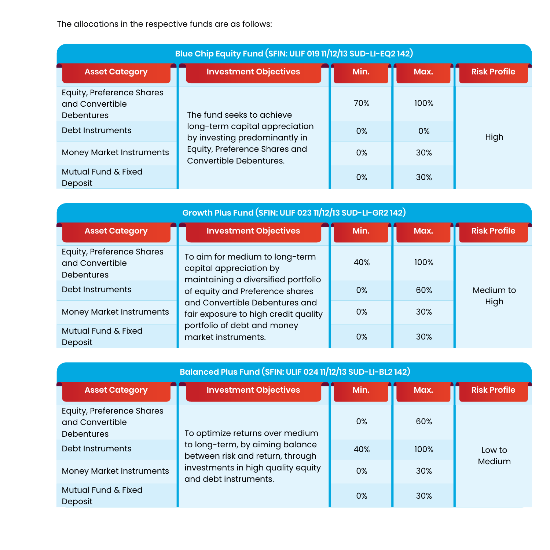The allocations in the respective funds are as follows:

| Blue Chip Equity Fund (SFIN: ULIF 019 11/12/13 SUD-LI-EQ2 142)           |                                                                                                                                                          |      |      |                     |  |
|--------------------------------------------------------------------------|----------------------------------------------------------------------------------------------------------------------------------------------------------|------|------|---------------------|--|
| <b>Asset Category</b>                                                    | <b>Investment Objectives</b>                                                                                                                             | Min. | Max. | <b>Risk Profile</b> |  |
| <b>Equity, Preference Shares</b><br>and Convertible<br><b>Debentures</b> | The fund seeks to achieve<br>long-term capital appreciation<br>by investing predominantly in<br>Equity, Preference Shares and<br>Convertible Debentures. | 70%  | 100% |                     |  |
| Debt Instruments                                                         |                                                                                                                                                          | 0%   | 0%   | High                |  |
| <b>Money Market Instruments</b>                                          |                                                                                                                                                          | 0%   | 30%  |                     |  |
| Mutual Fund & Fixed<br>Deposit                                           |                                                                                                                                                          | 0%   | 30%  |                     |  |

| Growth Plus Fund (SFIN: ULIF 023 11/12/13 SUD-LI-GR2 142)                |                                                                                                           |      |      |                     |  |  |
|--------------------------------------------------------------------------|-----------------------------------------------------------------------------------------------------------|------|------|---------------------|--|--|
| <b>Asset Category</b>                                                    | <b>Investment Objectives</b>                                                                              | Min. | Max. | <b>Risk Profile</b> |  |  |
| <b>Equity, Preference Shares</b><br>and Convertible<br><b>Debentures</b> | To aim for medium to long-term<br>capital appreciation by<br>maintaining a diversified portfolio          | 40%  | 100% |                     |  |  |
| Debt Instruments                                                         | of equity and Preference shares<br>and Convertible Debentures and<br>fair exposure to high credit quality | 0%   | 60%  | Medium to           |  |  |
| <b>Money Market Instruments</b>                                          |                                                                                                           | 0%   | 30%  | High                |  |  |
| Mutual Fund & Fixed<br>Deposit                                           | portfolio of debt and money<br>market instruments.                                                        | 0%   | 30%  |                     |  |  |

| Balanced Plus Fund (SFIN: ULIF 024 11/12/13 SUD-LI-BL2 142)              |                                                                                                                                    |      |            |                     |  |
|--------------------------------------------------------------------------|------------------------------------------------------------------------------------------------------------------------------------|------|------------|---------------------|--|
| <b>Asset Category</b>                                                    | <b>Investment Objectives</b>                                                                                                       | Min. | Max.       | <b>Risk Profile</b> |  |
| <b>Equity, Preference Shares</b><br>and Convertible<br><b>Debentures</b> | To optimize returns over medium                                                                                                    | 0%   | 60%        |                     |  |
| Debt Instruments                                                         | to long-term, by aiming balance<br>between risk and return, through<br>investments in high quality equity<br>and debt instruments. | 40%  | 100%       | Low to              |  |
| <b>Money Market Instruments</b>                                          |                                                                                                                                    | 0%   | <b>30%</b> | Medium              |  |
| Mutual Fund & Fixed<br>Deposit                                           |                                                                                                                                    | 0%   | 30%        |                     |  |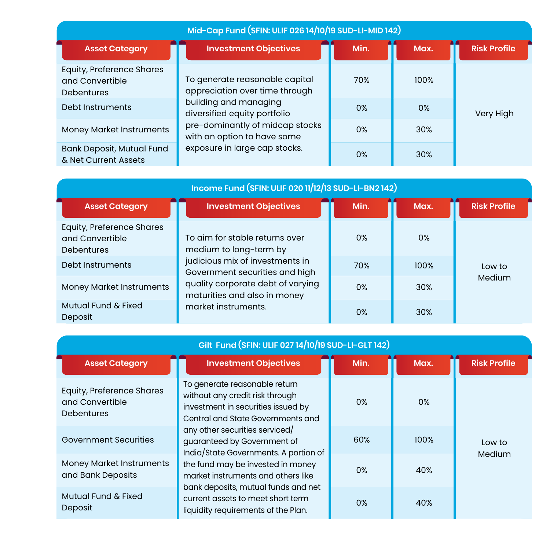| Mid-Cap Fund (SFIN: ULIF 026 14/10/19 SUD-LI-MID 142)             |                                                                                                                                                          |       |      |                     |  |  |
|-------------------------------------------------------------------|----------------------------------------------------------------------------------------------------------------------------------------------------------|-------|------|---------------------|--|--|
| <b>Asset Category</b>                                             | <b>Investment Objectives</b>                                                                                                                             | Min.  | Max. | <b>Risk Profile</b> |  |  |
| Equity, Preference Shares<br>and Convertible<br><b>Debentures</b> | To generate reasonable capital<br>appreciation over time through                                                                                         | 70%   | 100% |                     |  |  |
| Debt Instruments                                                  | building and managing<br>diversified equity portfolio<br>pre-dominantly of midcap stocks<br>with an option to have some<br>exposure in large cap stocks. | 0%    | 0%   | Very High           |  |  |
| Money Market Instruments                                          |                                                                                                                                                          | $0\%$ | 30%  |                     |  |  |
| <b>Bank Deposit, Mutual Fund</b><br>& Net Current Assets          |                                                                                                                                                          | 0%    | 30%  |                     |  |  |

| Income Fund (SFIN: ULIF 020 11/12/13 SUD-LI-BN2 142)                     |                                                                                                                                        |       |            |                     |  |  |
|--------------------------------------------------------------------------|----------------------------------------------------------------------------------------------------------------------------------------|-------|------------|---------------------|--|--|
| <b>Asset Category</b>                                                    | <b>Investment Objectives</b>                                                                                                           | Min.  | Max.       | <b>Risk Profile</b> |  |  |
| <b>Equity, Preference Shares</b><br>and Convertible<br><b>Debentures</b> | To aim for stable returns over<br>medium to long-term by                                                                               | $0\%$ | 0%         |                     |  |  |
| Debt Instruments                                                         | judicious mix of investments in<br>Government securities and high<br>quality corporate debt of varying<br>maturities and also in money | 70%   | 100%       | Low to              |  |  |
| Money Market Instruments                                                 |                                                                                                                                        | 0%    | <b>30%</b> | Medium              |  |  |
| Mutual Fund & Fixed<br>Deposit                                           | market instruments.                                                                                                                    | 0%    | <b>30%</b> |                     |  |  |

| Gilt Fund (SFIN: ULIF 027 14/10/19 SUD-LI-GLT 142)                       |                                                                                                                                             |      |      |                     |  |  |
|--------------------------------------------------------------------------|---------------------------------------------------------------------------------------------------------------------------------------------|------|------|---------------------|--|--|
| <b>Asset Category</b>                                                    | <b>Investment Objectives</b>                                                                                                                | Min. | Max. | <b>Risk Profile</b> |  |  |
| <b>Equity, Preference Shares</b><br>and Convertible<br><b>Debentures</b> | To generate reasonable return<br>without any credit risk through<br>investment in securities issued by<br>Central and State Governments and | 0%   | 0%   |                     |  |  |
| Government Securities                                                    | any other securities serviced/<br>guaranteed by Government of<br>India/State Governments. A portion of                                      | 60%  | 100% | Low to<br>Medium    |  |  |
| Money Market Instruments<br>and Bank Deposits                            | the fund may be invested in money<br>market instruments and others like                                                                     | 0%   | 40%  |                     |  |  |
| Mutual Fund & Fixed<br>Deposit                                           | bank deposits, mutual funds and net<br>current assets to meet short term<br>liquidity requirements of the Plan.                             | 0%   | 40%  |                     |  |  |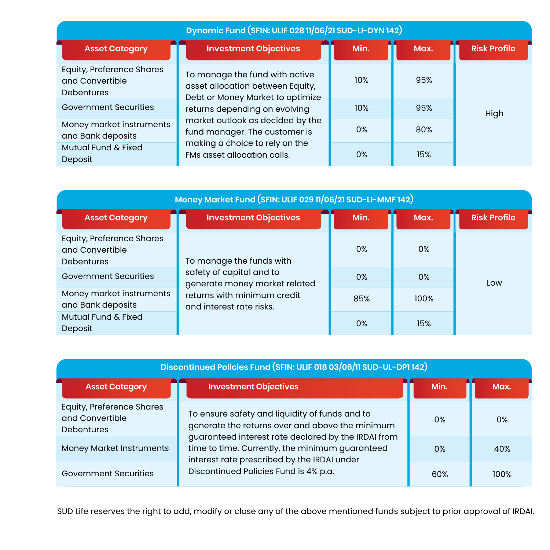| Dynamic Fund (SFIN: ULIF 028 11/06/21 SUD-LI-DYN 142)             |                                                                                                        |      |      |                     |  |  |
|-------------------------------------------------------------------|--------------------------------------------------------------------------------------------------------|------|------|---------------------|--|--|
| <b>Asset Category</b>                                             | <b>Investment Objectives</b>                                                                           | Min. | Max. | <b>Risk Profile</b> |  |  |
| Equity, Preference Shares<br>and Convertible<br><b>Debentures</b> | To manage the fund with active<br>asset allocation between Equity,<br>Debt or Money Market to optimize | 10%  | 95%  |                     |  |  |
| <b>Government Securities</b>                                      | returns depending on evolving                                                                          | 10%  | 95%  | High                |  |  |
| Money market instruments<br>and Bank deposits                     | market outlook as decided by the<br>fund manager. The customer is                                      | 0%   | 80%  |                     |  |  |
| Mutual Fund & Fixed<br>Deposit                                    | making a choice to rely on the<br>FMs asset allocation calls.                                          | 0%   | 15%  |                     |  |  |

| Money Market Fund (SFIN: ULIF 029 11/06/21 SUD-LI-MMF 142)               |                                                                                                                                                  |      |      |                     |  |
|--------------------------------------------------------------------------|--------------------------------------------------------------------------------------------------------------------------------------------------|------|------|---------------------|--|
| <b>Asset Category</b>                                                    | <b>Investment Objectives</b>                                                                                                                     | Min. | Max. | <b>Risk Profile</b> |  |
| <b>Equity, Preference Shares</b><br>and Convertible<br><b>Debentures</b> | To manage the funds with<br>safety of capital and to<br>generate money market related<br>returns with minimum credit<br>and interest rate risks. | 0%   | 0%   |                     |  |
| Government Securities                                                    |                                                                                                                                                  | 0%   | 0%   | Low                 |  |
| Money market instruments<br>and Bank deposits                            |                                                                                                                                                  | 85%  | 100% |                     |  |
| Mutual Fund & Fixed<br>Deposit                                           |                                                                                                                                                  | 0%   | 15%  |                     |  |

| Discontinued Policies Fund (SFIN: ULIF 018 03/06/11 SUD-UL-DP1 142) |                                                                                                                                                          |      |      |  |
|---------------------------------------------------------------------|----------------------------------------------------------------------------------------------------------------------------------------------------------|------|------|--|
| <b>Asset Category</b>                                               | <b>Investment Objectives</b>                                                                                                                             | Min. | Max. |  |
| Equity, Preference Shares<br>and Convertible<br><b>Debentures</b>   | To ensure safety and liquidity of funds and to<br>generate the returns over and above the minimum<br>guaranteed interest rate declared by the IRDAI from | 0%   | 0%   |  |
| <b>Money Market Instruments</b>                                     | time to time. Currently, the minimum guaranteed<br>interest rate prescribed by the IRDAI under                                                           | 0%   | 40%  |  |
| Government Securities                                               | Discontinued Policies Fund is 4% p.a.                                                                                                                    | 60%  | 100% |  |

SUD Life reserves the right to add, modify or close any of the above mentioned funds subject to prior approval of IRDAI.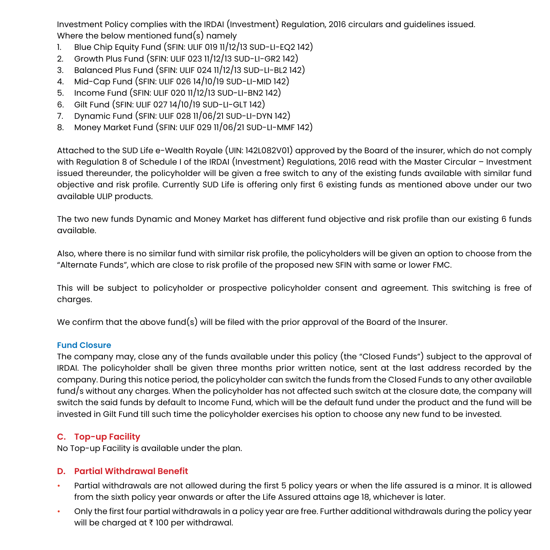Investment Policy complies with the IRDAI (Investment) Regulation, 2016 circulars and guidelines issued. Where the below mentioned fund(s) namely

- 1. Blue Chip Equity Fund (SFIN: ULIF 019 11/12/13 SUD-LI-EQ2 142)
- 2. Growth Plus Fund (SFIN: ULIF 023 11/12/13 SUD-LI-GR2 142)
- 3. Balanced Plus Fund (SFIN: ULIF 024 11/12/13 SUD-LI-BL2 142)
- 4. Mid-Cap Fund (SFIN: ULIF 026 14/10/19 SUD-LI-MID 142)
- 5. Income Fund (SFIN: ULIF 020 11/12/13 SUD-LI-BN2 142)
- 6. Gilt Fund (SFIN: ULIF 027 14/10/19 SUD-LI-GLT 142)
- 7. Dynamic Fund (SFIN: ULIF 028 11/06/21 SUD-LI-DYN 142)
- 8. Money Market Fund (SFIN: ULIF 029 11/06/21 SUD-LI-MMF 142)

Attached to the SUD Life e-Wealth Royale (UIN: 142L082V01) approved by the Board of the insurer, which do not comply with Regulation 8 of Schedule I of the IRDAI (Investment) Regulations, 2016 read with the Master Circular – Investment issued thereunder, the policyholder will be given a free switch to any of the existing funds available with similar fund objective and risk profile. Currently SUD Life is offering only first 6 existing funds as mentioned above under our two available ULIP products.

The two new funds Dynamic and Money Market has different fund objective and risk profile than our existing 6 funds available.

Also, where there is no similar fund with similar risk profile, the policyholders will be given an option to choose from the "Alternate Funds", which are close to risk profile of the proposed new SFIN with same or lower FMC.

This will be subject to policyholder or prospective policyholder consent and agreement. This switching is free of charges.

We confirm that the above fund(s) will be filed with the prior approval of the Board of the Insurer.

#### **Fund Closure**

The company may, close any of the funds available under this policy (the "Closed Funds") subject to the approval of IRDAI. The policyholder shall be given three months prior written notice, sent at the last address recorded by the company. During this notice period, the policyholder can switch the funds from the Closed Funds to any other available fund/s without any charges. When the policyholder has not affected such switch at the closure date, the company will switch the said funds by default to Income Fund, which will be the default fund under the product and the fund will be invested in Gilt Fund till such time the policyholder exercises his option to choose any new fund to be invested.

### **C. Top-up Facility**

No Top-up Facility is available under the plan.

#### **D. Partial Withdrawal Benefit**

- Partial withdrawals are not allowed during the first 5 policy years or when the life assured is a minor. It is allowed from the sixth policy year onwards or after the Life Assured attains age 18, whichever is later.
- Only the first four partial withdrawals in a policy year are free. Further additional withdrawals during the policy year will be charged at  $\bar{\tau}$  100 per withdrawal.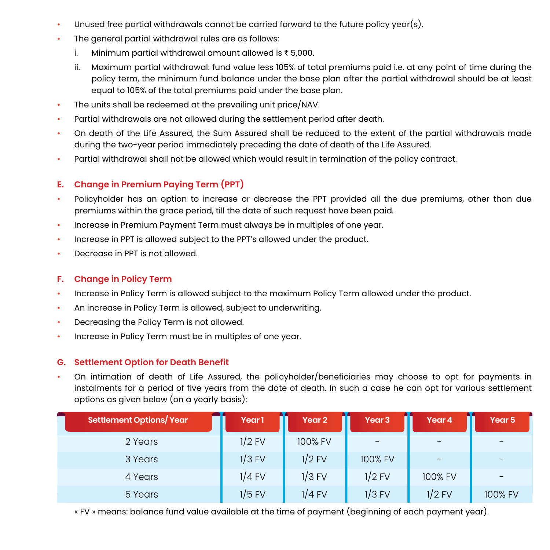- Unused free partial withdrawals cannot be carried forward to the future policy year(s).
- The general partial withdrawal rules are as follows:
	- i. Minimum partial withdrawal amount allowed is  $\bar{\tau}$  5,000.
	- ii. Maximum partial withdrawal: fund value less 105% of total premiums paid i.e. at any point of time during the policy term, the minimum fund balance under the base plan after the partial withdrawal should be at least equal to 105% of the total premiums paid under the base plan.
- The units shall be redeemed at the prevailing unit price/NAV.
- Partial withdrawals are not allowed during the settlement period after death.
- On death of the Life Assured, the Sum Assured shall be reduced to the extent of the partial withdrawals made during the two-year period immediately preceding the date of death of the Life Assured.
- Partial withdrawal shall not be allowed which would result in termination of the policy contract.

#### **E. Change in Premium Paying Term (PPT)**

- Policyholder has an option to increase or decrease the PPT provided all the due premiums, other than due premiums within the grace period, till the date of such request have been paid.
- Increase in Premium Payment Term must always be in multiples of one year.
- Increase in PPT is allowed subject to the PPT's allowed under the product.
- Decrease in PPT is not allowed.

#### **F. Change in Policy Term**

- Increase in Policy Term is allowed subject to the maximum Policy Term allowed under the product.
- An increase in Policy Term is allowed, subject to underwriting.
- Decreasing the Policy Term is not allowed.
- Increase in Policy Term must be in multiples of one year.

#### **G. Settlement Option for Death Benefit**

• On intimation of death of Life Assured, the policyholder/beneficiaries may choose to opt for payments in instalments for a period of five years from the date of death. In such a case he can opt for various settlement options as given below (on a yearly basis):

| Settlement Options/Year | Year <sub>1</sub> | Year <sub>2</sub> | Year <sub>3</sub>        | Year 4                   | Year 5  |
|-------------------------|-------------------|-------------------|--------------------------|--------------------------|---------|
| 2 Years                 | $1/2$ FV          | 100% FV           | $\overline{\phantom{m}}$ | $\overline{\phantom{m}}$ |         |
| 3 Years                 | $1/3$ FV          | $1/2$ FV          | 100% FV                  | $\overline{\phantom{m}}$ |         |
| 4 Years                 | $1/4$ FV          | $1/3$ FV          | $1/2$ FV                 | 100% FV                  |         |
| 5 Years                 | $1/5$ FV          | 1/4 FV            | $1/3$ FV                 | $1/2$ FV                 | 100% FV |

« FV » means: balance fund value available at the time of payment (beginning of each payment year).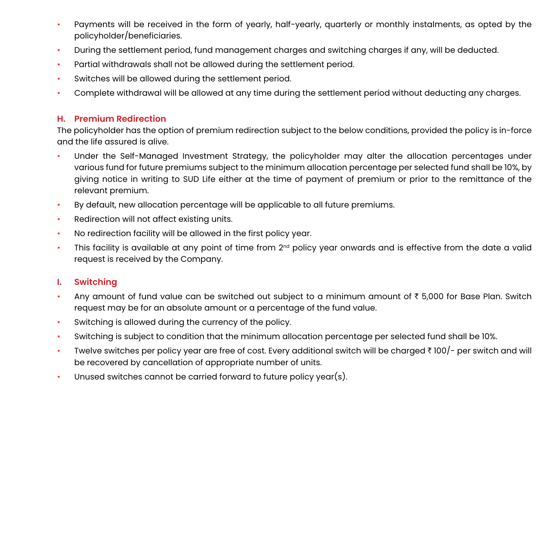- Payments will be received in the form of yearly, half-yearly, quarterly or monthly instalments, as opted by the policyholder/beneficiaries.
- During the settlement period, fund management charges and switching charges if any, will be deducted.
- Partial withdrawals shall not be allowed during the settlement period.
- Switches will be allowed during the settlement period.
- Complete withdrawal will be allowed at any time during the settlement period without deducting any charges.

#### **H. Premium Redirection**

The policyholder has the option of premium redirection subject to the below conditions, provided the policy is in-force and the life assured is alive.

- Under the Self-Managed Investment Strategy, the policyholder may alter the allocation percentages under various fund for future premiums subject to the minimum allocation percentage per selected fund shall be 10%, by giving notice in writing to SUD Life either at the time of payment of premium or prior to the remittance of the relevant premium.
- By default, new allocation percentage will be applicable to all future premiums.
- Redirection will not affect existing units.
- No redirection facility will be allowed in the first policy year.
- This facility is available at any point of time from 2<sup>nd</sup> policy year onwards and is effective from the date a valid request is received by the Company.

#### **I. Switching**

- Any amount of fund value can be switched out subject to a minimum amount of  $\bar{\tau}$  5,000 for Base Plan. Switch request may be for an absolute amount or a percentage of the fund value.
- Switching is allowed during the currency of the policy.
- Switching is subject to condition that the minimum allocation percentage per selected fund shall be 10%.
- Twelve switches per policy year are free of cost. Every additional switch will be charged  $\bar{\tau}$  100/- per switch and will be recovered by cancellation of appropriate number of units.
- Unused switches cannot be carried forward to future policy year(s).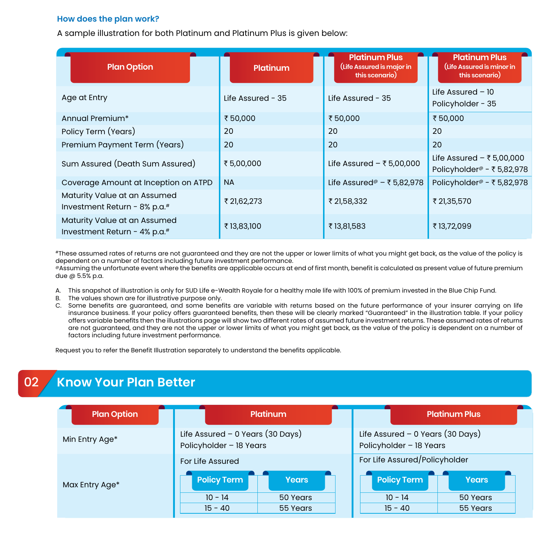#### **How does the plan work?**

A sample illustration for both Platinum and Platinum Plus is given below:

| <b>Plan Option</b>                                           | Platinum            | <b>Platinum Plus</b><br>(Life Assured is major in<br>this scenario) | <b>Platinum Plus</b><br>(Life Assured is minor in<br>this scenario) |
|--------------------------------------------------------------|---------------------|---------------------------------------------------------------------|---------------------------------------------------------------------|
| Age at Entry                                                 | Life Assured - $35$ | Life Assured - $35$                                                 | Life Assured $-10$<br>Policyholder - 35                             |
| Annual Premium*                                              | ₹50,000             | ₹50,000                                                             | ₹50,000                                                             |
| Policy Term (Years)                                          | 20                  | 20                                                                  | 20                                                                  |
| Premium Payment Term (Years)                                 | 20                  | 20                                                                  | 20                                                                  |
| Sum Assured (Death Sum Assured)                              | ₹5,00,000           | Life Assured $-$ ₹ 5,00,000                                         | Life Assured $-$ ₹5,00,000<br>Policyholder <sup>®</sup> - ₹5,82,978 |
| Coverage Amount at Inception on ATPD                         | <b>NA</b>           | Life Assured <sup>@</sup> - ₹5,82,978                               | Policyholder <sup>@</sup> - ₹5,82,978                               |
| Maturity Value at an Assumed<br>Investment Return - 8% p.a.# | ₹ 21,62,273         | ₹ 21,58,332                                                         | ₹ 21,35,570                                                         |
| Maturity Value at an Assumed<br>Investment Return - 4% p.a.# | ₹13,83,100          | ₹13,81,583                                                          | ₹13,72,099                                                          |

#These assumed rates of returns are not guaranteed and they are not the upper or lower limits of what you might get back, as the value of the policy is dependent on a number of factors including future investment performance.

@Assuming the unfortunate event where the benefits are applicable occurs at end of first month, benefit is calculated as present value of future premium due @ 5.5% p.a.

- A. This snapshot of illustration is only for SUD Life e-Wealth Royale for a healthy male life with 100% of premium invested in the Blue Chip Fund.
- B. The values shown are for illustrative purpose only.
- C. Some benefits are guaranteed, and some benefits are variable with returns based on the future performance of your insurer carrying on life insurance business. If your policy offers guaranteed benefits, then these will be clearly marked "Guaranteed" in the illustration table. If your policy offers variable benefits then the illustrations page will show two different rates of assumed future investment returns. These assumed rates of returns are not guaranteed, and they are not the upper or lower limits of what you might get back, as the value of the policy is dependent on a number of factors including future investment performance.

Request you to refer the Benefit Illustration separately to understand the benefits applicable.

# 02 **Know Your Plan Better**

| <b>Plan Option</b> | <b>Platinum</b>                                               |              | <b>Platinum Plus</b>                                          |              |
|--------------------|---------------------------------------------------------------|--------------|---------------------------------------------------------------|--------------|
| Min Entry Age*     | Life Assured - $0$ Years (30 Days)<br>Policyholder - 18 Years |              | Life Assured $-$ 0 Years (30 Days)<br>Policyholder - 18 Years |              |
|                    | For Life Assured                                              |              | For Life Assured/Policyholder                                 |              |
| Max Entry Age*     | <b>Policy Term</b>                                            | <b>Years</b> | <b>Policy Term</b>                                            | <b>Years</b> |
|                    | $10 - 14$                                                     | 50 Years     | $10 - 14$                                                     | 50 Years     |
|                    | $15 - 40$                                                     | 55 Years     | $15 - 40$                                                     | 55 Years     |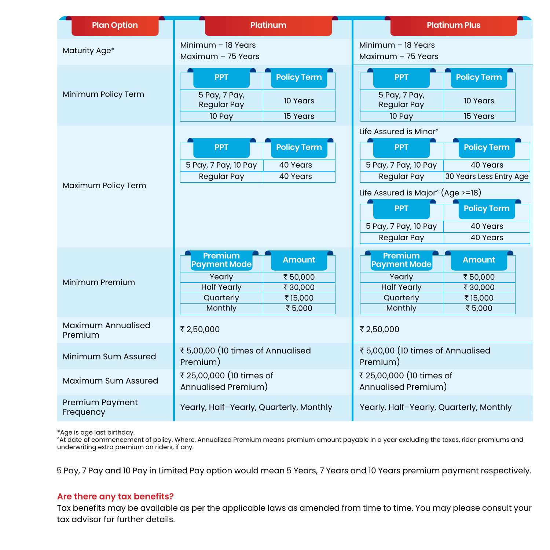| <b>Plan Option</b>            | <b>Platinum</b>                                                                                                                                    | <b>Platinum Plus</b>                                                                                                                                                                                                                                                                                                |  |
|-------------------------------|----------------------------------------------------------------------------------------------------------------------------------------------------|---------------------------------------------------------------------------------------------------------------------------------------------------------------------------------------------------------------------------------------------------------------------------------------------------------------------|--|
| Maturity Age*                 | Minimum $-$ 18 Years<br>Maximum - 75 Years                                                                                                         | Minimum $-$ 18 Years<br>Maximum - 75 Years                                                                                                                                                                                                                                                                          |  |
| Minimum Policy Term           | <b>Policy Term</b><br><b>PPT</b><br>5 Pay, 7 Pay,<br>10 Years<br><b>Regular Pay</b><br>15 Years<br>10 Pay                                          | <b>Policy Term</b><br><b>PPT</b><br>5 Pay, 7 Pay,<br>10 Years<br><b>Regular Pay</b><br>15 Years<br>10 Pay                                                                                                                                                                                                           |  |
| Maximum Policy Term           | <b>Policy Term</b><br><b>PPT</b><br>5 Pay, 7 Pay, 10 Pay<br>40 Years<br><b>Regular Pay</b><br>40 Years                                             | Life Assured is Minor <sup>^</sup><br><b>Policy Term</b><br><b>PPT</b><br>40 Years<br>5 Pay, 7 Pay, 10 Pay<br><b>Regular Pay</b><br>30 Years Less Entry Age<br>Life Assured is Major $\hat{ }$ (Age >=18)<br><b>PPT</b><br><b>Policy Term</b><br>5 Pay, 7 Pay, 10 Pay<br>40 Years<br><b>Regular Pay</b><br>40 Years |  |
| Minimum Premium               | Premium<br><b>Amount</b><br><b>Payment Mode</b><br>Yearly<br>₹50,000<br><b>Half Yearly</b><br>₹30,000<br>Quarterly<br>₹15,000<br>Monthly<br>₹5,000 | Premium<br><b>Amount</b><br><b>Payment Mode</b><br>Yearly<br>₹50,000<br><b>Half Yearly</b><br>₹30,000<br>Quarterly<br>₹15,000<br>Monthly<br>₹5,000                                                                                                                                                                  |  |
| Maximum Annualised<br>Premium | ₹ 2,50,000                                                                                                                                         | ₹ 2,50,000                                                                                                                                                                                                                                                                                                          |  |
| Minimum Sum Assured           | ₹5,00,00 (10 times of Annualised<br>Premium)                                                                                                       | ₹5,00,00 (10 times of Annualised<br>Premium)                                                                                                                                                                                                                                                                        |  |
| Maximum Sum Assured           | ₹ 25,00,000 (10 times of<br>Annualised Premium)                                                                                                    | ₹ 25,00,000 (10 times of<br>Annualised Premium)                                                                                                                                                                                                                                                                     |  |
| Premium Payment<br>Frequency  | Yearly, Half-Yearly, Quarterly, Monthly                                                                                                            | Yearly, Half-Yearly, Quarterly, Monthly                                                                                                                                                                                                                                                                             |  |

\*Age is age last birthday. ^At date of commencement of policy. Where, Annualized Premium means premium amount payable in a year excluding the taxes, rider premiums and underwriting extra premium on riders, if any.

5 Pay, 7 Pay and 10 Pay in Limited Pay option would mean 5 Years, 7 Years and 10 Years premium payment respectively.

#### **Are there any tax benefits?**

Tax benefits may be available as per the applicable laws as amended from time to time. You may please consult your tax advisor for further details.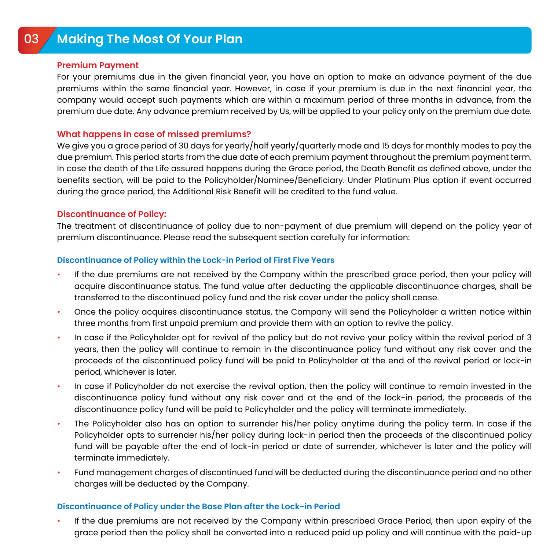# <sup>03</sup> **Making The Most Of Your Plan** On death of the Life Assured under the Paid-up Policy, the Paid-up Death Benefit will be paid to the beneficiary and the

#### **Premium Payment**

For your premiums due in the given financial year, you have an option to make an advance payment of the due premiums within the same financial year. However, in case if your premium is due in the next financial year, the company would accept such payments which are within a maximum period of three months in advance, from the premium due date. Any advance premium received by Us, will be applied to your policy only on the premium due date.

#### **What happens in case of missed premiums?**

We give you a grace period of 30 days for yearly/half yearly/quarterly mode and 15 days for monthly modes to pay the due premium. This period starts from the due date of each premium payment throughout the premium payment term. In case the death of the Life assured happens during the Grace period, the Death Benefit as defined above, under the benefits section, will be paid to the Policyholder/Nominee/Beneficiary. Under Platinum Plus option if event occurred during the grace period, the Additional Risk Benefit will be credited to the fund value.

#### **Discontinuance of Policy:**

The treatment of discontinuance of policy due to non-payment of due premium will depend on the policy year of premium discontinuance. Please read the subsequent section carefully for information:

#### **Discontinuance of Policy within the Lock-in Period of First Five Years**

- If the due premiums are not received by the Company within the prescribed grace period, then your policy will acquire discontinuance status. The fund value after deducting the applicable discontinuance charges, shall be transferred to the discontinued policy fund and the risk cover under the policy shall cease.
- Once the policy acquires discontinuance status, the Company will send the Policyholder a written notice within three months from first unpaid premium and provide them with an option to revive the policy.
- In case if the Policyholder opt for revival of the policy but do not revive your policy within the revival period of 3 years, then the policy will continue to remain in the discontinuance policy fund without any risk cover and the proceeds of the discontinued policy fund will be paid to Policyholder at the end of the revival period or lock-in period, whichever is later.
- In case if Policyholder do not exercise the revival option, then the policy will continue to remain invested in the discontinuance policy fund without any risk cover and at the end of the lock-in period, the proceeds of the discontinuance policy fund will be paid to Policyholder and the policy will terminate immediately.
- The Policyholder also has an option to surrender his/her policy anytime during the policy term. In case if the Policyholder opts to surrender his/her policy during lock-in period then the proceeds of the discontinued policy fund will be payable after the end of lock-in period or date of surrender, whichever is later and the policy will terminate immediately.
- Fund management charges of discontinued fund will be deducted during the discontinuance period and no other charges will be deducted by the Company.

#### **Discontinuance of Policy under the Base Plan after the Lock-in Period**

• If the due premiums are not received by the Company within prescribed Grace Period, then upon expiry of the grace period then the policy shall be converted into a reduced paid up policy and will continue with the paid-up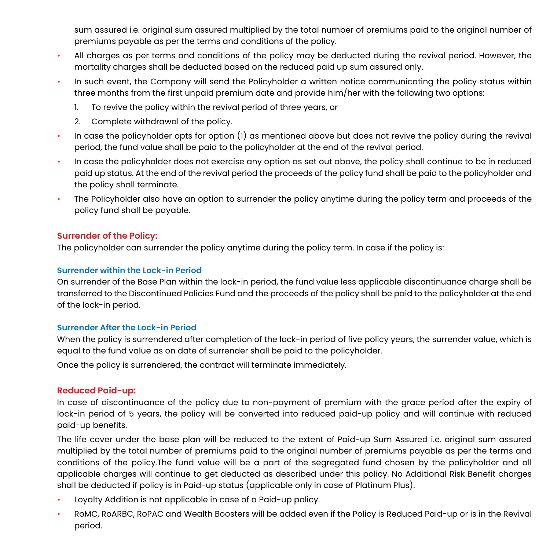sum assured i.e. original sum assured multiplied by the total number of premiums paid to the original number of premiums payable as per the terms and conditions of the policy.

- All charges as per terms and conditions of the policy may be deducted during the revival period. However, the mortality charges shall be deducted based on the reduced paid up sum assured only.
- In such event, the Company will send the Policyholder a written notice communicating the policy status within three months from the first unpaid premium date and provide him/her with the following two options:
	- 1. To revive the policy within the revival period of three years, or
	- 2. Complete withdrawal of the policy.
- In case the policyholder opts for option (1) as mentioned above but does not revive the policy during the revival period, the fund value shall be paid to the policyholder at the end of the revival period.
- In case the policyholder does not exercise any option as set out above, the policy shall continue to be in reduced paid up status. At the end of the revival period the proceeds of the policy fund shall be paid to the policyholder and the policy shall terminate.
- The Policyholder also have an option to surrender the policy anytime during the policy term and proceeds of the policy fund shall be payable.

#### **Surrender of the Policy:**

The policyholder can surrender the policy anytime during the policy term. In case if the policy is:

#### **Surrender within the Lock-in Period**

On surrender of the Base Plan within the lock-in period, the fund value less applicable discontinuance charge shall be transferred to the Discontinued Policies Fund and the proceeds of the policy shall be paid to the policyholder at the end of the lock-in period.

#### **Surrender After the Lock-in Period**

When the policy is surrendered after completion of the lock-in period of five policy years, the surrender value, which is equal to the fund value as on date of surrender shall be paid to the policyholder.

Once the policy is surrendered, the contract will terminate immediately.

#### **Reduced Paid-up:**

In case of discontinuance of the policy due to non-payment of premium with the grace period after the expiry of lock-in period of 5 years, the policy will be converted into reduced paid-up policy and will continue with reduced paid-up benefits.

The life cover under the base plan will be reduced to the extent of Paid-up Sum Assured i.e. original sum assured multiplied by the total number of premiums paid to the original number of premiums payable as per the terms and conditions of the policy.The fund value will be a part of the segregated fund chosen by the policyholder and all applicable charges will continue to get deducted as described under this policy. No Additional Risk Benefit charges shall be deducted if policy is in Paid-up status (applicable only in case of Platinum Plus).

- Loyalty Addition is not applicable in case of a Paid-up policy.
- RoMC, RoARBC, RoPAC and Wealth Boosters will be added even if the Policy is Reduced Paid-up or is in the Revival period.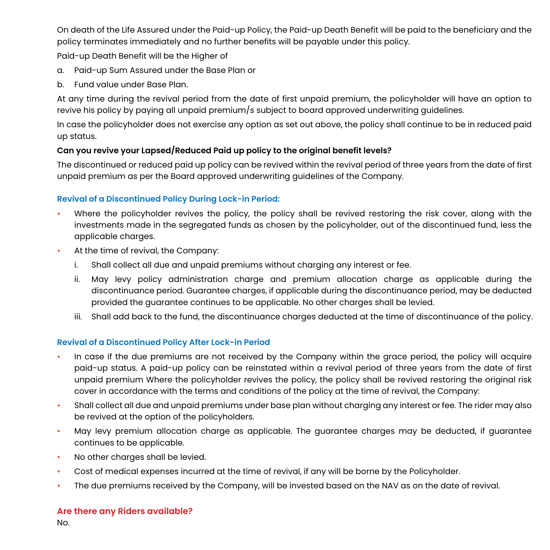On death of the Life Assured under the Paid-up Policy, the Paid-up Death Benefit will be paid to the beneficiary and the policy terminates immediately and no further benefits will be payable under this policy.

Paid-up Death Benefit will be the Higher of

- a. Paid-up Sum Assured under the Base Plan or
- b. Fund value under Base Plan.

At any time during the revival period from the date of first unpaid premium, the policyholder will have an option to revive his policy by paying all unpaid premium/s subject to board approved underwriting guidelines.

In case the policyholder does not exercise any option as set out above, the policy shall continue to be in reduced paid up status.

#### **Can you revive your Lapsed/Reduced Paid up policy to the original benefit levels?**

The discontinued or reduced paid up policy can be revived within the revival period of three years from the date of first unpaid premium as per the Board approved underwriting guidelines of the Company.

#### **Revival of a Discontinued Policy During Lock-in Period:**

- Where the policyholder revives the policy, the policy shall be revived restoring the risk cover, along with the investments made in the segregated funds as chosen by the policyholder, out of the discontinued fund, less the applicable charges.
- At the time of revival, the Company:
	- i. Shall collect all due and unpaid premiums without charging any interest or fee.
	- ii. May levy policy administration charge and premium allocation charge as applicable during the discontinuance period. Guarantee charges, if applicable during the discontinuance period, may be deducted provided the guarantee continues to be applicable. No other charges shall be levied.
	- iii. Shall add back to the fund, the discontinuance charges deducted at the time of discontinuance of the policy.

#### **Revival of a Discontinued Policy After Lock-in Period**

- In case if the due premiums are not received by the Company within the grace period, the policy will acquire paid-up status. A paid-up policy can be reinstated within a revival period of three years from the date of first unpaid premium Where the policyholder revives the policy, the policy shall be revived restoring the original risk cover in accordance with the terms and conditions of the policy at the time of revival, the Company:
- Shall collect all due and unpaid premiums under base plan without charging any interest or fee. The rider may also be revived at the option of the policyholders.
- May levy premium allocation charge as applicable. The guarantee charges may be deducted, if guarantee continues to be applicable.
- No other charges shall be levied.
- Cost of medical expenses incurred at the time of revival, if any will be borne by the Policyholder.
- The due premiums received by the Company, will be invested based on the NAV as on the date of revival.

#### **Are there any Riders available?**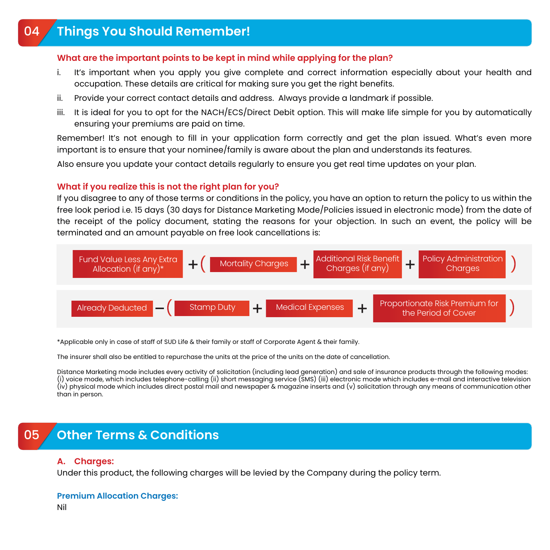#### **What are the important points to be kept in mind while applying for the plan?**

- i. It's important when you apply you give complete and correct information especially about your health and occupation. These details are critical for making sure you get the right benefits.
- ii. Provide your correct contact details and address. Always provide a landmark if possible.
- iii. It is ideal for you to opt for the NACH/ECS/Direct Debit option. This will make life simple for you by automatically ensuring your premiums are paid on time.

Remember! It's not enough to fill in your application form correctly and get the plan issued. What's even more important is to ensure that your nominee/family is aware about the plan and understands its features.

Also ensure you update your contact details regularly to ensure you get real time updates on your plan.

#### **What if you realize this is not the right plan for you?**

If you disagree to any of those terms or conditions in the policy, you have an option to return the policy to us within the free look period i.e. 15 days (30 days for Distance Marketing Mode/Policies issued in electronic mode) from the date of the receipt of the policy document, stating the reasons for your objection. In such an event, the policy will be terminated and an amount payable on free look cancellations is:



\*Applicable only in case of staff of SUD Life & their family or staff of Corporate Agent & their family.

The insurer shall also be entitled to repurchase the units at the price of the units on the date of cancellation.

Distance Marketing mode includes every activity of solicitation (including lead generation) and sale of insurance products through the following modes: (i) voice mode, which includes telephone-calling (ii) short messaging service (SMS) (iii) electronic mode which includes e-mail and interactive television (iv) physical mode which includes direct postal mail and newspaper & magazine inserts and (v) solicitation through any means of communication other than in person.

# 05 **Other Terms & Conditions**

#### **A. Charges:**

Under this product, the following charges will be levied by the Company during the policy term.

#### **Premium Allocation Charges:**

Nil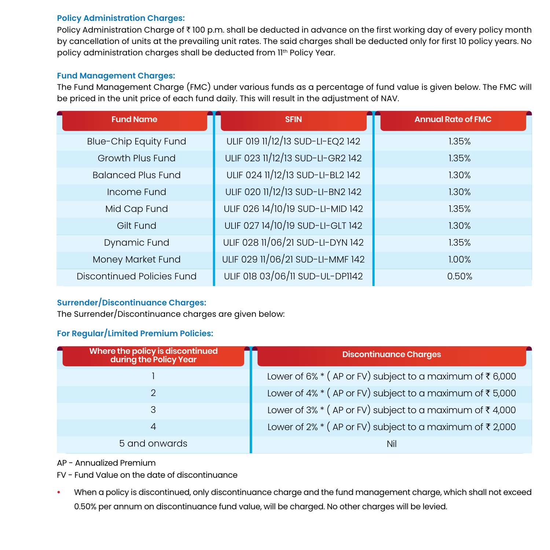#### **Policy Administration Charges:**

Policy Administration Charge of ₹100 p.m. shall be deducted in advance on the first working day of every policy month by cancellation of units at the prevailing unit rates. The said charges shall be deducted only for first 10 policy years. No policy administration charges shall be deducted from II<sup>th</sup> Policy Year.

#### **Fund Management Charges:**

The Fund Management Charge (FMC) under various funds as a percentage of fund value is given below. The FMC will be priced in the unit price of each fund daily. This will result in the adjustment of NAV.

| <b>Fund Name</b>                  | <b>SFIN</b>                      | <b>Annual Rate of FMC</b> |
|-----------------------------------|----------------------------------|---------------------------|
| <b>Blue-Chip Equity Fund</b>      | ULIF 019 11/12/13 SUD-LI-EQ2 142 | 1.35%                     |
| Growth Plus Fund                  | ULIF 023 11/12/13 SUD-LI-GR2 142 | 1.35%                     |
| <b>Balanced Plus Fund</b>         | ULIF 024 11/12/13 SUD-LI-BL2 142 | 1.30%                     |
| Income Fund                       | ULIF 020 11/12/13 SUD-LI-BN2 142 | 1.30%                     |
| Mid Cap Fund                      | ULIF 026 14/10/19 SUD-LI-MID 142 | 1.35%                     |
| Gilt Fund                         | ULIF 027 14/10/19 SUD-LI-GLT 142 | 1.30%                     |
| Dynamic Fund                      | ULIF 028 11/06/21 SUD-LI-DYN 142 | 1.35%                     |
| Money Market Fund                 | ULIF 029 11/06/21 SUD-LI-MMF 142 | 1.00%                     |
| <b>Discontinued Policies Fund</b> | ULIF 018 03/06/11 SUD-UL-DP1142  | 0.50%                     |

#### **Surrender/Discontinuance Charges:**

The Surrender/Discontinuance charges are given below:

#### **For Regular/Limited Premium Policies:**

| Where the policy is discontinued<br>during the Policy Year | Discontinuance Charges                                        |
|------------------------------------------------------------|---------------------------------------------------------------|
|                                                            | Lower of 6% $*($ AP or FV) subject to a maximum of ₹6,000     |
|                                                            | Lower of 4% $*$ (AP or FV) subject to a maximum of ₹5,000     |
| 3                                                          | Lower of 3% $*($ AP or FV) subject to a maximum of $*(4,000)$ |
| 4                                                          | Lower of 2% $*($ AP or FV) subject to a maximum of $*(2,000)$ |
| 5 and onwards                                              | <b>Nil</b>                                                    |

AP - Annualized Premium

FV - Fund Value on the date of discontinuance

**•** When a policy is discontinued, only discontinuance charge and the fund management charge, which shall not exceed 0.50% per annum on discontinuance fund value, will be charged. No other charges will be levied.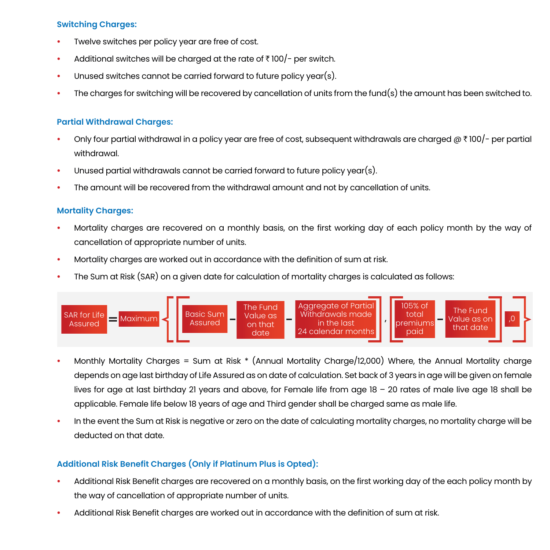#### **Switching Charges:**

- **•** Twelve switches per policy year are free of cost.
- Additional switches will be charged at the rate of  $\bar{\tau}$  100/- per switch.
- **•** Unused switches cannot be carried forward to future policy year(s).
- **•** The charges for switching will be recovered by cancellation of units from the fund(s) the amount has been switched to.

#### **Partial Withdrawal Charges:**

- **•** Only four partial withdrawal in a policy year are free of cost, subsequent withdrawals are charged @ ` 100/- per partial withdrawal.
- **•** Unused partial withdrawals cannot be carried forward to future policy year(s).
- **•** The amount will be recovered from the withdrawal amount and not by cancellation of units.

#### **Mortality Charges:**

- **•** Mortality charges are recovered on a monthly basis, on the first working day of each policy month by the way of cancellation of appropriate number of units.
- **•** Mortality charges are worked out in accordance with the definition of sum at risk.
- **•** The Sum at Risk (SAR) on a given date for calculation of mortality charges is calculated as follows:



- **•** Monthly Mortality Charges = Sum at Risk \* (Annual Mortality Charge/12,000) Where, the Annual Mortality charge depends on age last birthday of Life Assured as on date of calculation. Set back of 3 years in age will be given on female lives for age at last birthday 21 years and above, for Female life from age 18 – 20 rates of male live age 18 shall be applicable. Female life below 18 years of age and Third gender shall be charged same as male life.
- **•** In the event the Sum at Risk is negative or zero on the date of calculating mortality charges, no mortality charge will be deducted on that date.

#### **Additional Risk Benefit Charges (Only if Platinum Plus is Opted):**

- **•** Additional Risk Benefit charges are recovered on a monthly basis, on the first working day of the each policy month by the way of cancellation of appropriate number of units.
- **•** Additional Risk Benefit charges are worked out in accordance with the definition of sum at risk.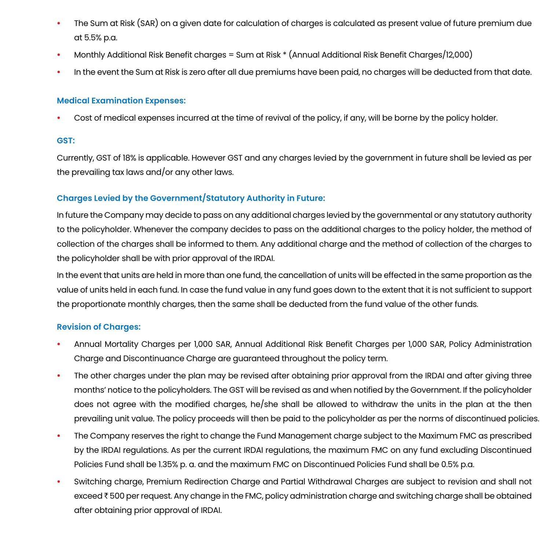- **•** The Sum at Risk (SAR) on a given date for calculation of charges is calculated as present value of future premium due at 5.5% p.a.
- **•** Monthly Additional Risk Benefit charges = Sum at Risk \* (Annual Additional Risk Benefit Charges/12,000)
- **•** In the event the Sum at Risk is zero after all due premiums have been paid, no charges will be deducted from that date.

#### **Medical Examination Expenses:**

**•** Cost of medical expenses incurred at the time of revival of the policy, if any, will be borne by the policy holder.

#### **GST:**

Currently, GST of 18% is applicable. However GST and any charges levied by the government in future shall be levied as per the prevailing tax laws and/or any other laws.

#### **Charges Levied by the Government/Statutory Authority in Future:**

In future the Company may decide to pass on any additional charges levied by the governmental or any statutory authority to the policyholder. Whenever the company decides to pass on the additional charges to the policy holder, the method of collection of the charges shall be informed to them. Any additional charge and the method of collection of the charges to the policyholder shall be with prior approval of the IRDAI.

In the event that units are held in more than one fund, the cancellation of units will be effected in the same proportion as the value of units held in each fund. In case the fund value in any fund goes down to the extent that it is not sufficient to support the proportionate monthly charges, then the same shall be deducted from the fund value of the other funds.

#### **Revision of Charges:**

- **•** Annual Mortality Charges per 1,000 SAR, Annual Additional Risk Benefit Charges per 1,000 SAR, Policy Administration Charge and Discontinuance Charge are guaranteed throughout the policy term.
- **•** The other charges under the plan may be revised after obtaining prior approval from the IRDAI and after giving three months' notice to the policyholders. The GST will be revised as and when notified by the Government. If the policyholder does not agree with the modified charges, he/she shall be allowed to withdraw the units in the plan at the then prevailing unit value. The policy proceeds will then be paid to the policyholder as per the norms of discontinued policies.
- **•** The Company reserves the right to change the Fund Management charge subject to the Maximum FMC as prescribed by the IRDAI regulations. As per the current IRDAI regulations, the maximum FMC on any fund excluding Discontinued Policies Fund shall be 1.35% p. a. and the maximum FMC on Discontinued Policies Fund shall be 0.5% p.a.
- **•** Switching charge, Premium Redirection Charge and Partial Withdrawal Charges are subject to revision and shall not exceed ₹500 per request. Any change in the FMC, policy administration charge and switching charge shall be obtained after obtaining prior approval of IRDAI.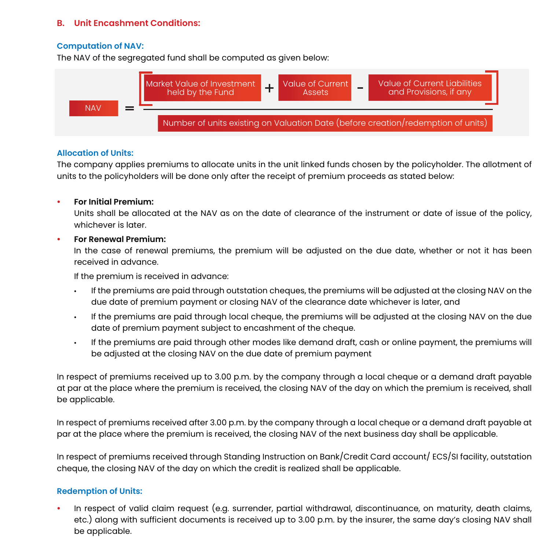#### **B. Unit Encashment Conditions:**

#### **Computation of NAV:**

The NAV of the segregated fund shall be computed as given below:



#### **Allocation of Units:**

The company applies premiums to allocate units in the unit linked funds chosen by the policyholder. The allotment of units to the policyholders will be done only after the receipt of premium proceeds as stated below:

#### **• For Initial Premium:**

 Units shall be allocated at the NAV as on the date of clearance of the instrument or date of issue of the policy, whichever is later.

#### **• For Renewal Premium:**

 In the case of renewal premiums, the premium will be adjusted on the due date, whether or not it has been received in advance.

If the premium is received in advance:

- If the premiums are paid through outstation cheques, the premiums will be adjusted at the closing NAV on the due date of premium payment or closing NAV of the clearance date whichever is later, and
- If the premiums are paid through local cheque, the premiums will be adjusted at the closing NAV on the due date of premium payment subject to encashment of the cheque.
- If the premiums are paid through other modes like demand draft, cash or online payment, the premiums will be adjusted at the closing NAV on the due date of premium payment

In respect of premiums received up to 3.00 p.m. by the company through a local cheque or a demand draft payable at par at the place where the premium is received, the closing NAV of the day on which the premium is received, shall be applicable.

In respect of premiums received after 3.00 p.m. by the company through a local cheque or a demand draft payable at par at the place where the premium is received, the closing NAV of the next business day shall be applicable.

In respect of premiums received through Standing Instruction on Bank/Credit Card account/ ECS/SI facility, outstation cheque, the closing NAV of the day on which the credit is realized shall be applicable.

#### **Redemption of Units:**

**•** In respect of valid claim request (e.g. surrender, partial withdrawal, discontinuance, on maturity, death claims, etc.) along with sufficient documents is received up to 3.00 p.m. by the insurer, the same day's closing NAV shall be applicable.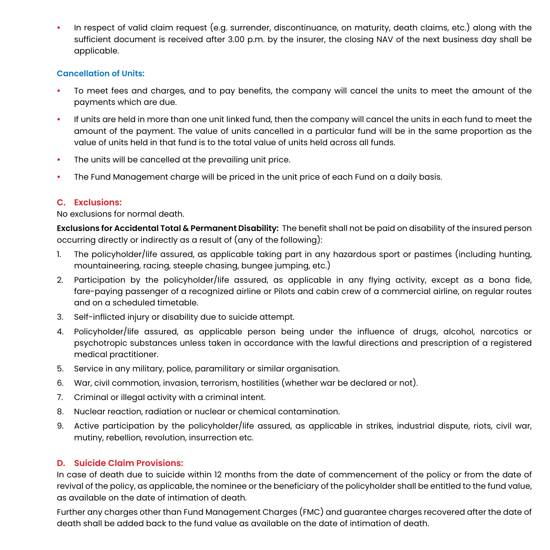**•** In respect of valid claim request (e.g. surrender, discontinuance, on maturity, death claims, etc.) along with the sufficient document is received after 3.00 p.m. by the insurer, the closing NAV of the next business day shall be applicable.

#### **Cancellation of Units:**

- **•** To meet fees and charges, and to pay benefits, the company will cancel the units to meet the amount of the payments which are due.
- **•** If units are held in more than one unit linked fund, then the company will cancel the units in each fund to meet the amount of the payment. The value of units cancelled in a particular fund will be in the same proportion as the value of units held in that fund is to the total value of units held across all funds.
- **•** The units will be cancelled at the prevailing unit price.
- **•** The Fund Management charge will be priced in the unit price of each Fund on a daily basis.

#### **C. Exclusions:**

#### No exclusions for normal death.

**Exclusions for Accidental Total & Permanent Disability:** The benefit shall not be paid on disability of the insured person occurring directly or indirectly as a result of (any of the following):

- 1. The policyholder/life assured, as applicable taking part in any hazardous sport or pastimes (including hunting, mountaineering, racing, steeple chasing, bungee jumping, etc.)
- 2. Participation by the policyholder/life assured, as applicable in any flying activity, except as a bona fide, fare-paying passenger of a recognized airline or Pilots and cabin crew of a commercial airline, on regular routes and on a scheduled timetable.
- 3. Self-inflicted injury or disability due to suicide attempt.
- 4. Policyholder/life assured, as applicable person being under the influence of drugs, alcohol, narcotics or psychotropic substances unless taken in accordance with the lawful directions and prescription of a registered medical practitioner.
- 5. Service in any military, police, paramilitary or similar organisation.
- 6. War, civil commotion, invasion, terrorism, hostilities (whether war be declared or not).
- 7. Criminal or illegal activity with a criminal intent.
- 8. Nuclear reaction, radiation or nuclear or chemical contamination.
- 9. Active participation by the policyholder/life assured, as applicable in strikes, industrial dispute, riots, civil war, mutiny, rebellion, revolution, insurrection etc.

#### **D. Suicide Claim Provisions:**

In case of death due to suicide within 12 months from the date of commencement of the policy or from the date of revival of the policy, as applicable, the nominee or the beneficiary of the policyholder shall be entitled to the fund value, as available on the date of intimation of death.

Further any charges other than Fund Management Charges (FMC) and guarantee charges recovered after the date of death shall be added back to the fund value as available on the date of intimation of death.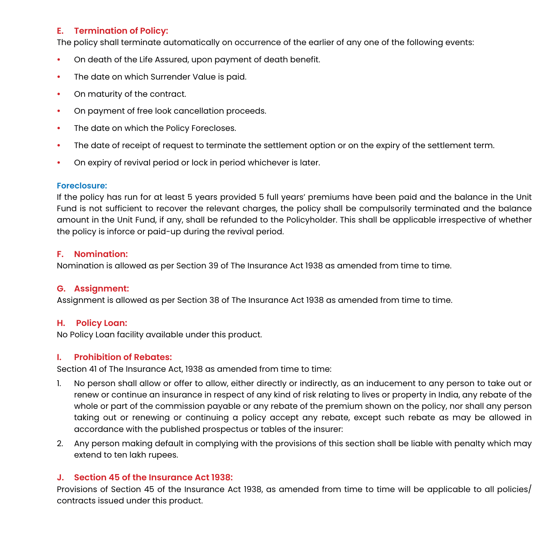#### **E. Termination of Policy:**

The policy shall terminate automatically on occurrence of the earlier of any one of the following events:

- **•** On death of the Life Assured, upon payment of death benefit.
- **•** The date on which Surrender Value is paid.
- **•** On maturity of the contract.
- **•** On payment of free look cancellation proceeds.
- **•** The date on which the Policy Forecloses.
- **•** The date of receipt of request to terminate the settlement option or on the expiry of the settlement term.
- **•** On expiry of revival period or lock in period whichever is later.

#### **Foreclosure:**

If the policy has run for at least 5 years provided 5 full years' premiums have been paid and the balance in the Unit Fund is not sufficient to recover the relevant charges, the policy shall be compulsorily terminated and the balance amount in the Unit Fund, if any, shall be refunded to the Policyholder. This shall be applicable irrespective of whether the policy is inforce or paid-up during the revival period.

#### **F. Nomination:**

Nomination is allowed as per Section 39 of The Insurance Act 1938 as amended from time to time.

#### **G. Assignment:**

Assignment is allowed as per Section 38 of The Insurance Act 1938 as amended from time to time.

#### **H. Policy Loan:**

No Policy Loan facility available under this product.

#### **I. Prohibition of Rebates:**

Section 41 of The Insurance Act, 1938 as amended from time to time:

- 1. No person shall allow or offer to allow, either directly or indirectly, as an inducement to any person to take out or renew or continue an insurance in respect of any kind of risk relating to lives or property in India, any rebate of the whole or part of the commission payable or any rebate of the premium shown on the policy, nor shall any person taking out or renewing or continuing a policy accept any rebate, except such rebate as may be allowed in accordance with the published prospectus or tables of the insurer:
- 2. Any person making default in complying with the provisions of this section shall be liable with penalty which may extend to ten lakh rupees.

#### **J. Section 45 of the Insurance Act 1938:**

Provisions of Section 45 of the Insurance Act 1938, as amended from time to time will be applicable to all policies/ contracts issued under this product.